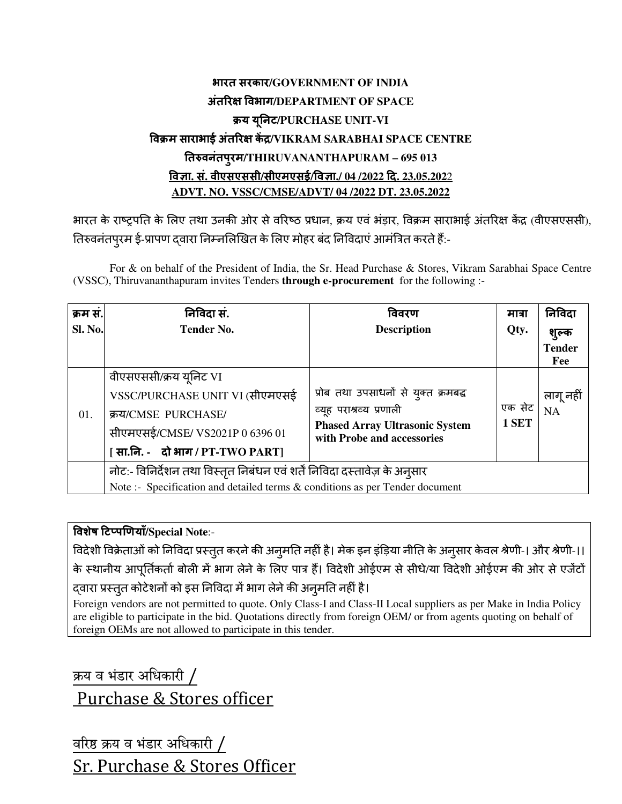## भारत सरकार**/GOVERNMENT OF INDIA** अंत र वभाग**/DEPARTMENT OF SPACE** य यनट ू **/PURCHASE UNIT-VI** विक्रम साराभाई अतरिक्ष केंद्र/VIKRAM SARABHAI SPACE CENTRE तवनंतपरमु **/THIRUVANANTHAPURAM – 695 013** वा**.** सं**.** वीएसएससी**/**सीएमएसई**/**वा**./ 04 /2022** द**. 23.05.202**2 **ADVT. NO. VSSC/CMSE/ADVT/ 04 /2022 DT. 23.05.2022**

भारत के राष्ट्रपति के लिए तथा उनकी ओर से वरिष्ठ प्रधान, क्रय एवं भड़ार, विक्रम साराभाई अंतरिक्ष केंद्र (वीएसएससी), तिरुवनंतपुरम ई-प्रापण द्वारा निम्नलिखित के लिए मोहर बंद निविदाए आर्मात्रेत करते हैं:-

For & on behalf of the President of India, the Sr. Head Purchase & Stores, Vikram Sarabhai Space Centre (VSSC), Thiruvananthapuram invites Tenders **through e-procurement** for the following :-

| क्रम स.        | निविदा सं.                                                                   | विवरण                                                                                                                                  | मात्रा | निविदा                 |
|----------------|------------------------------------------------------------------------------|----------------------------------------------------------------------------------------------------------------------------------------|--------|------------------------|
| <b>Sl. No.</b> | <b>Tender No.</b>                                                            | <b>Description</b>                                                                                                                     | Qty.   | शुल्क<br><b>Tender</b> |
|                |                                                                              |                                                                                                                                        |        | Fee                    |
|                | वीएसएससी/क्रय यूनिट VI                                                       |                                                                                                                                        |        |                        |
| 01.            | VSSC/PURCHASE UNIT VI (सीएमएसई                                               | प्रोब तथा उपसाधनों से युक्त क्रमबद्ध<br>व्यूह पराश्रव्य प्रणाली<br><b>Phased Array Ultrasonic System</b><br>with Probe and accessories |        | लागू नहीं              |
|                | क्रय/CMSE PURCHASE/                                                          |                                                                                                                                        | एक सेट | <b>NA</b>              |
|                | सीएमएसई/CMSE/VS2021P0639601                                                  |                                                                                                                                        | 1 SET  |                        |
|                | [सा.नि. - दो भाग / PT-TWO PART]                                              |                                                                                                                                        |        |                        |
|                | नोट:- विनिर्देशन तथा विस्तृत निबंधन एवं शर्तें निविदा दस्तावेज़ के अनुसार    |                                                                                                                                        |        |                        |
|                | Note :- Specification and detailed terms & conditions as per Tender document |                                                                                                                                        |        |                        |

वशेष ट'प(णयाँ**/Special Note**:-

विदेशी विक्रेताओं को निविदा प्रस्तुत करने की अनुमति नहीं है। मेक इन इंड़िया नीति के अनुसार केवल श्रेणी-। और श्रेणी-।। के स्थानीय आपूर्तिकतों बोली में भाग लेने के लिए पात्र है। विदेशी ओईएम से सीधे/या विदेशी ओईएम की ओर से एजेंटों द्वारा प्रस्तुत कोटेशनो को इस निविदा में भाग लेने की अनुमति नहीं है।

Foreign vendors are not permitted to quote. Only Class-I and Class-II Local suppliers as per Make in India Policy are eligible to participate in the bid. Quotations directly from foreign OEM/ or from agents quoting on behalf of foreign OEMs are not allowed to participate in this tender.

क्रय व भंडार अधिकारी / Purchase & Stores officer

<u>वरिष्ठ क्रय व भंडार अधिकारी /</u> Sr. Purchase & Stores Officer